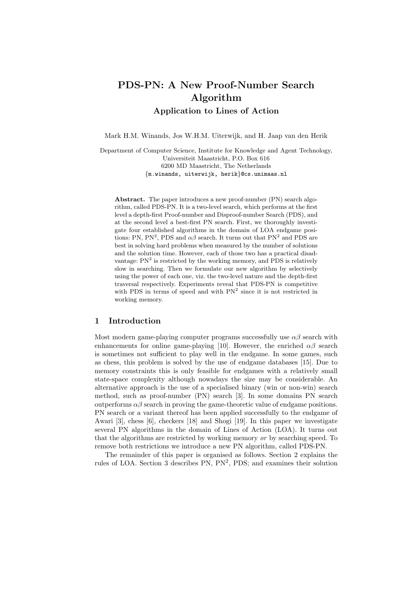# PDS-PN: A New Proof-Number Search Algorithm Application to Lines of Action

Mark H.M. Winands, Jos W.H.M. Uiterwijk, and H. Jaap van den Herik

Department of Computer Science, Institute for Knowledge and Agent Technology, Universiteit Maastricht, P.O. Box 616 6200 MD Maastricht, The Netherlands {m.winands, uiterwijk, herik}@cs.unimaas.nl

Abstract. The paper introduces a new proof-number (PN) search algorithm, called PDS-PN. It is a two-level search, which performs at the first level a depth-first Proof-number and Disproof-number Search (PDS), and at the second level a best-first PN search. First, we thoroughly investigate four established algorithms in the domain of LOA endgame positions: PN, PN<sup>2</sup>, PDS and  $\alpha\beta$  search. It turns out that PN<sup>2</sup> and PDS are best in solving hard problems when measured by the number of solutions and the solution time. However, each of those two has a practical disadvantage:  $PN<sup>2</sup>$  is restricted by the working memory, and PDS is relatively slow in searching. Then we formulate our new algorithm by selectively using the power of each one, viz. the two-level nature and the depth-first traversal respectively. Experiments reveal that PDS-PN is competitive with PDS in terms of speed and with  $PN<sup>2</sup>$  since it is not restricted in working memory.

#### 1 Introduction

Most modern game-playing computer programs successfully use  $\alpha\beta$  search with enhancements for online game-playing [10]. However, the enriched  $\alpha\beta$  search is sometimes not sufficient to play well in the endgame. In some games, such as chess, this problem is solved by the use of endgame databases [15]. Due to memory constraints this is only feasible for endgames with a relatively small state-space complexity although nowadays the size may be considerable. An alternative approach is the use of a specialised binary (win or non-win) search method, such as proof-number (PN) search [3]. In some domains PN search outperforms  $\alpha\beta$  search in proving the game-theoretic value of endgame positions. PN search or a variant thereof has been applied successfully to the endgame of Awari [3], chess [6], checkers [18] and Shogi [19]. In this paper we investigate several PN algorithms in the domain of Lines of Action (LOA). It turns out that the algorithms are restricted by working memory or by searching speed. To remove both restrictions we introduce a new PN algorithm, called PDS-PN.

The remainder of this paper is organised as follows. Section 2 explains the rules of LOA. Section 3 describes  $PN$ ,  $PN^2$ ,  $PDS$ ; and examines their solution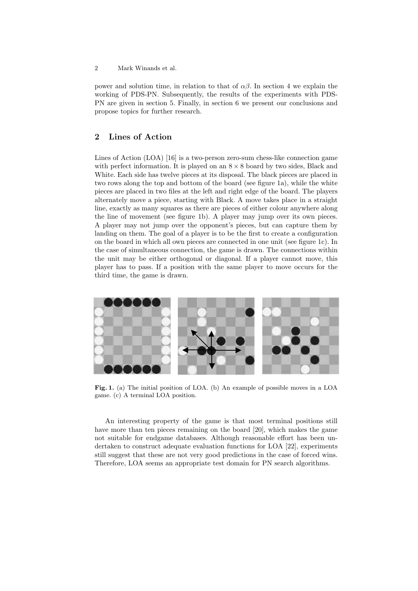2 Mark Winands et al.

power and solution time, in relation to that of  $\alpha\beta$ . In section 4 we explain the working of PDS-PN. Subsequently, the results of the experiments with PDS-PN are given in section 5. Finally, in section 6 we present our conclusions and propose topics for further research.

# 2 Lines of Action

Lines of Action (LOA) [16] is a two-person zero-sum chess-like connection game with perfect information. It is played on an  $8 \times 8$  board by two sides, Black and White. Each side has twelve pieces at its disposal. The black pieces are placed in two rows along the top and bottom of the board (see figure 1a), while the white pieces are placed in two files at the left and right edge of the board. The players alternately move a piece, starting with Black. A move takes place in a straight line, exactly as many squares as there are pieces of either colour anywhere along the line of movement (see figure 1b). A player may jump over its own pieces. A player may not jump over the opponent's pieces, but can capture them by landing on them. The goal of a player is to be the first to create a configuration on the board in which all own pieces are connected in one unit (see figure 1c). In the case of simultaneous connection, the game is drawn. The connections within the unit may be either orthogonal or diagonal. If a player cannot move, this player has to pass. If a position with the same player to move occurs for the third time, the game is drawn.



Fig. 1. (a) The initial position of LOA. (b) An example of possible moves in a LOA game. (c) A terminal LOA position.

An interesting property of the game is that most terminal positions still have more than ten pieces remaining on the board [20], which makes the game not suitable for endgame databases. Although reasonable effort has been undertaken to construct adequate evaluation functions for LOA [22], experiments still suggest that these are not very good predictions in the case of forced wins. Therefore, LOA seems an appropriate test domain for PN search algorithms.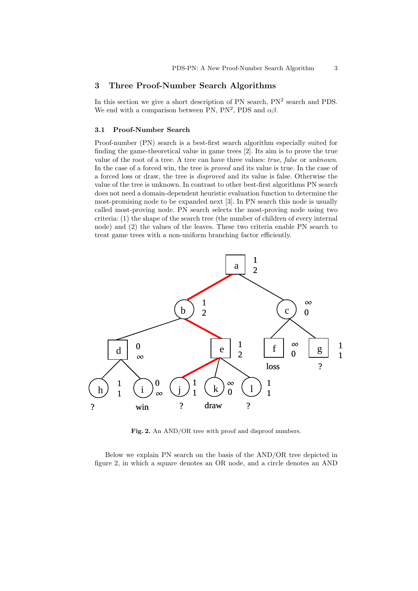## 3 Three Proof-Number Search Algorithms

In this section we give a short description of PN search,  $PN<sup>2</sup>$  search and PDS. We end with a comparison between PN,  $PN^2$ , PDS and  $\alpha\beta$ .

#### 3.1 Proof-Number Search

Proof-number (PN) search is a best-first search algorithm especially suited for finding the game-theoretical value in game trees [2]. Its aim is to prove the true value of the root of a tree. A tree can have three values: true, false or unknown. In the case of a forced win, the tree is proved and its value is true. In the case of a forced loss or draw, the tree is disproved and its value is false. Otherwise the value of the tree is unknown. In contrast to other best-first algorithms PN search does not need a domain-dependent heuristic evaluation function to determine the most-promising node to be expanded next [3]. In PN search this node is usually called most-proving node. PN search selects the most-proving node using two criteria: (1) the shape of the search tree (the number of children of every internal node) and (2) the values of the leaves. These two criteria enable PN search to treat game trees with a non-uniform branching factor efficiently.



Fig. 2. An AND/OR tree with proof and disproof numbers.

Below we explain PN search on the basis of the AND/OR tree depicted in figure 2, in which a square denotes an OR node, and a circle denotes an AND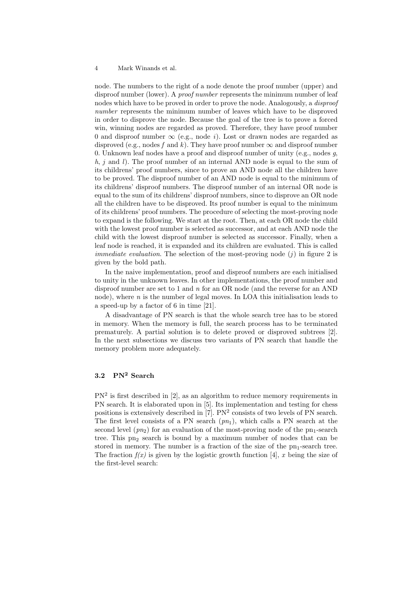node. The numbers to the right of a node denote the proof number (upper) and disproof number (lower). A *proof number* represents the minimum number of leaf nodes which have to be proved in order to prove the node. Analogously, a disproof number represents the minimum number of leaves which have to be disproved in order to disprove the node. Because the goal of the tree is to prove a forced win, winning nodes are regarded as proved. Therefore, they have proof number 0 and disproof number  $\infty$  (e.g., node *i*). Lost or drawn nodes are regarded as disproved (e.g., nodes f and k). They have proof number  $\infty$  and disproof number 0. Unknown leaf nodes have a proof and disproof number of unity (e.g., nodes g,  $h, j$  and l). The proof number of an internal AND node is equal to the sum of its childrens' proof numbers, since to prove an AND node all the children have to be proved. The disproof number of an AND node is equal to the minimum of its childrens' disproof numbers. The disproof number of an internal OR node is equal to the sum of its childrens' disproof numbers, since to disprove an OR node all the children have to be disproved. Its proof number is equal to the minimum of its childrens' proof numbers. The procedure of selecting the most-proving node to expand is the following. We start at the root. Then, at each OR node the child with the lowest proof number is selected as successor, and at each AND node the child with the lowest disproof number is selected as successor. Finally, when a leaf node is reached, it is expanded and its children are evaluated. This is called *immediate evaluation*. The selection of the most-proving node  $(i)$  in figure 2 is given by the bold path.

In the naive implementation, proof and disproof numbers are each initialised to unity in the unknown leaves. In other implementations, the proof number and disproof number are set to 1 and  $n$  for an OR node (and the reverse for an AND node), where  $n$  is the number of legal moves. In LOA this initialisation leads to a speed-up by a factor of 6 in time [21].

A disadvantage of PN search is that the whole search tree has to be stored in memory. When the memory is full, the search process has to be terminated prematurely. A partial solution is to delete proved or disproved subtrees [2]. In the next subsections we discuss two variants of PN search that handle the memory problem more adequately.

# 3.2 PN<sup>2</sup> Search

 $PN<sup>2</sup>$  is first described in [2], as an algorithm to reduce memory requirements in PN search. It is elaborated upon in [5]. Its implementation and testing for chess positions is extensively described in [7]. PN<sup>2</sup> consists of two levels of PN search. The first level consists of a PN search  $(pn_1)$ , which calls a PN search at the second level  $(pn_2)$  for an evaluation of the most-proving node of the pn<sub>1</sub>-search tree. This  $\text{pn}_2$  search is bound by a maximum number of nodes that can be stored in memory. The number is a fraction of the size of the  $pn_1$ -search tree. The fraction  $f(x)$  is given by the logistic growth function [4], x being the size of the first-level search: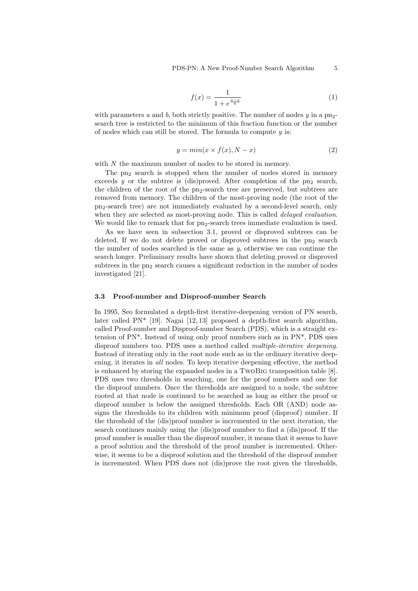$$
f(x) = \frac{1}{1 + e^{\frac{a - x}{b}}}
$$
 (1)

with parameters a and b, both strictly positive. The number of nodes  $y$  in a pn<sub>2</sub>search tree is restricted to the minimum of this fraction function or the number of nodes which can still be stored. The formula to compute  $y$  is:

$$
y = min(x \times f(x), N - x)
$$
 (2)

with  $N$  the maximum number of nodes to be stored in memory.

The  $\text{p}_2$  search is stopped when the number of nodes stored in memory exceeds y or the subtree is (dis)proved. After completion of the  $\text{pn}_2$  search, the children of the root of the pn<sub>2</sub>-search tree are preserved, but subtrees are removed from memory. The children of the most-proving node (the root of the pn2-search tree) are not immediately evaluated by a second-level search, only when they are selected as most-proving node. This is called *delayed evaluation*. We would like to remark that for  $pn_2$ -search trees immediate evaluation is used.

As we have seen in subsection 3.1, proved or disproved subtrees can be deleted. If we do not delete proved or disproved subtrees in the  $\text{p}_2$  search the number of nodes searched is the same as  $y$ , otherwise we can continue the search longer. Preliminary results have shown that deleting proved or disproved subtrees in the  $p_{12}$  search causes a significant reduction in the number of nodes investigated [21].

#### 3.3 Proof-number and Disproof-number Search

In 1995, Seo formulated a depth-first iterative-deepening version of PN search, later called PN\* [19]. Nagai [12, 13] proposed a depth-first search algorithm, called Proof-number and Disproof-number Search (PDS), which is a straight extension of PN\*. Instead of using only proof numbers such as in PN\*, PDS uses disproof numbers too. PDS uses a method called multiple-iterative deepening. Instead of iterating only in the root node such as in the ordinary iterative deepening, it iterates in *all* nodes. To keep iterative deepening effective, the method is enhanced by storing the expanded nodes in a TwoBig transposition table [8]. PDS uses two thresholds in searching, one for the proof numbers and one for the disproof numbers. Once the thresholds are assigned to a node, the subtree rooted at that node is continued to be searched as long as either the proof or disproof number is below the assigned thresholds. Each OR (AND) node assigns the thresholds to its children with minimum proof (disproof) number. If the threshold of the (dis)proof number is incremented in the next iteration, the search continues mainly using the (dis)proof number to find a (dis)proof. If the proof number is smaller than the disproof number, it means that it seems to have a proof solution and the threshold of the proof number is incremented. Otherwise, it seems to be a disproof solution and the threshold of the disproof number is incremented. When PDS does not (dis)prove the root given the thresholds,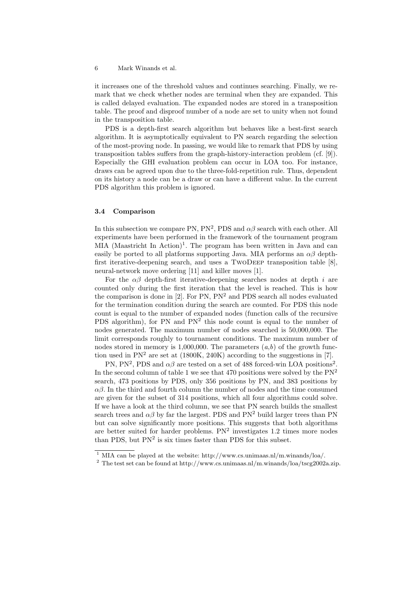#### 6 Mark Winands et al.

it increases one of the threshold values and continues searching. Finally, we remark that we check whether nodes are terminal when they are expanded. This is called delayed evaluation. The expanded nodes are stored in a transposition table. The proof and disproof number of a node are set to unity when not found in the transposition table.

PDS is a depth-first search algorithm but behaves like a best-first search algorithm. It is asymptotically equivalent to PN search regarding the selection of the most-proving node. In passing, we would like to remark that PDS by using transposition tables suffers from the graph-history-interaction problem (cf. [9]). Especially the GHI evaluation problem can occur in LOA too. For instance, draws can be agreed upon due to the three-fold-repetition rule. Thus, dependent on its history a node can be a draw or can have a different value. In the current PDS algorithm this problem is ignored.

#### 3.4 Comparison

In this subsection we compare PN,  $PN^2$ , PDS and  $\alpha\beta$  search with each other. All experiments have been performed in the framework of the tournament program MIA (Maastricht In Action)<sup>1</sup>. The program has been written in Java and can easily be ported to all platforms supporting Java. MIA performs an  $\alpha\beta$  depthfirst iterative-deepening search, and uses a TwoDeep transposition table [8], neural-network move ordering [11] and killer moves [1].

For the  $\alpha\beta$  depth-first iterative-deepening searches nodes at depth *i* are counted only during the first iteration that the level is reached. This is how the comparison is done in  $[2]$ . For PN, PN<sup>2</sup> and PDS search all nodes evaluated for the termination condition during the search are counted. For PDS this node count is equal to the number of expanded nodes (function calls of the recursive PDS algorithm), for PN and PN<sup>2</sup> this node count is equal to the number of nodes generated. The maximum number of nodes searched is 50,000,000. The limit corresponds roughly to tournament conditions. The maximum number of nodes stored in memory is 1,000,000. The parameters  $(a,b)$  of the growth function used in  $PN^2$  are set at (1800K, 240K) according to the suggestions in [7].

PN, PN<sup>2</sup>, PDS and  $\alpha\beta$  are tested on a set of 488 forced-win LOA positions<sup>2</sup>. In the second column of table 1 we see that 470 positions were solved by the  ${\rm PN^2}$ search, 473 positions by PDS, only 356 positions by PN, and 383 positions by  $\alpha\beta$ . In the third and fourth column the number of nodes and the time consumed are given for the subset of 314 positions, which all four algorithms could solve. If we have a look at the third column, we see that PN search builds the smallest search trees and  $\alpha\beta$  by far the largest. PDS and PN<sup>2</sup> build larger trees than PN but can solve significantly more positions. This suggests that both algorithms are better suited for harder problems.  $PN<sup>2</sup>$  investigates 1.2 times more nodes than PDS, but  $PN<sup>2</sup>$  is six times faster than PDS for this subset.

<sup>&</sup>lt;sup>1</sup> MIA can be played at the website: http://www.cs.unimaas.nl/m.winands/loa/.

<sup>&</sup>lt;sup>2</sup> The test set can be found at http://www.cs.unimaas.nl/m.winands/loa/tscg2002a.zip.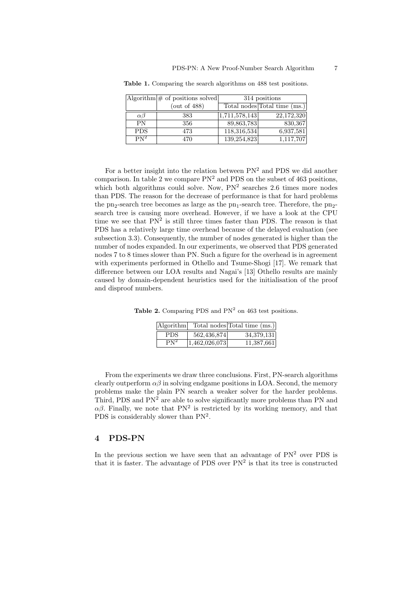|               | $\text{Algorithm} \# \text{ of positions solved}\$ | 314 positions            |                              |
|---------------|----------------------------------------------------|--------------------------|------------------------------|
|               | (out of $488$ )                                    |                          | Total nodes Total time (ms.) |
| $\alpha\beta$ | 383                                                | 1,711,578,143            | 22,172,320                   |
| <b>PN</b>     | 356                                                | 89,863,783               | 830,367                      |
| <b>PDS</b>    | 473                                                | 118,316,534              | 6,937,581                    |
| $PN^2$        | 470                                                | $\overline{139,254,823}$ | 1,117,707                    |

Table 1. Comparing the search algorithms on 488 test positions.

For a better insight into the relation between PN<sup>2</sup> and PDS we did another comparison. In table 2 we compare  $PN<sup>2</sup>$  and PDS on the subset of 463 positions, which both algorithms could solve. Now,  $PN^2$  searches 2.6 times more nodes than PDS. The reason for the decrease of performance is that for hard problems the pn<sub>2</sub>-search tree becomes as large as the pn<sub>1</sub>-search tree. Therefore, the pn<sub>2</sub>search tree is causing more overhead. However, if we have a look at the CPU time we see that  $PN^2$  is still three times faster than PDS. The reason is that PDS has a relatively large time overhead because of the delayed evaluation (see subsection 3.3). Consequently, the number of nodes generated is higher than the number of nodes expanded. In our experiments, we observed that PDS generated nodes 7 to 8 times slower than PN. Such a figure for the overhead is in agreement with experiments performed in Othello and Tsume-Shogi [17]. We remark that difference between our LOA results and Nagai's [13] Othello results are mainly caused by domain-dependent heuristics used for the initialisation of the proof and disproof numbers.

Table 2. Comparing PDS and  $PN<sup>2</sup>$  on 463 test positions.

| Algorithm |               | Total nodes Total time (ms.) |
|-----------|---------------|------------------------------|
| PDS.      | 562,436,874   | 34,379,131                   |
| $PN^2$    | 1,462,026,073 | 11,387,661                   |

From the experiments we draw three conclusions. First, PN-search algorithms clearly outperform  $\alpha\beta$  in solving endgame positions in LOA. Second, the memory problems make the plain PN search a weaker solver for the harder problems. Third, PDS and  $PN<sup>2</sup>$  are able to solve significantly more problems than PN and  $\alpha\beta$ . Finally, we note that PN<sup>2</sup> is restricted by its working memory, and that PDS is considerably slower than  $PN^2$ .

## 4 PDS-PN

In the previous section we have seen that an advantage of  $PN<sup>2</sup>$  over PDS is that it is faster. The advantage of PDS over  $PN<sup>2</sup>$  is that its tree is constructed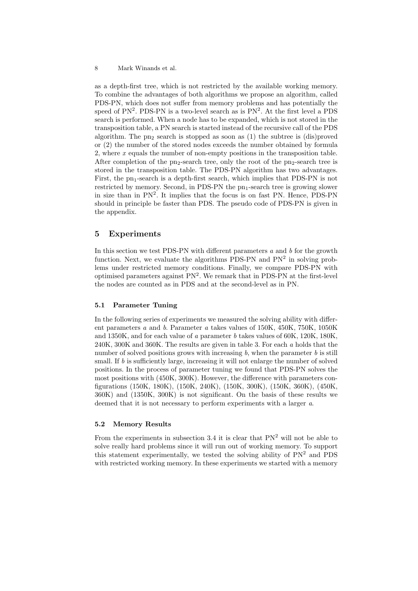#### 8 Mark Winands et al.

as a depth-first tree, which is not restricted by the available working memory. To combine the advantages of both algorithms we propose an algorithm, called PDS-PN, which does not suffer from memory problems and has potentially the speed of  $PN^2$ . PDS-PN is a two-level search as is  $PN^2$ . At the first level a PDS search is performed. When a node has to be expanded, which is not stored in the transposition table, a PN search is started instead of the recursive call of the PDS algorithm. The  $pn_2$  search is stopped as soon as  $(1)$  the subtree is  $(dis)$ proved or (2) the number of the stored nodes exceeds the number obtained by formula 2, where x equals the number of non-empty positions in the transposition table. After completion of the  $pn_2$ -search tree, only the root of the  $pn_2$ -search tree is stored in the transposition table. The PDS-PN algorithm has two advantages. First, the  $pn_1$ -search is a depth-first search, which implies that PDS-PN is not restricted by memory. Second, in PDS-PN the pn<sub>1</sub>-search tree is growing slower in size than in  $PN^2$ . It implies that the focus is on fast PN. Hence, PDS-PN should in principle be faster than PDS. The pseudo code of PDS-PN is given in the appendix.

## 5 Experiments

In this section we test PDS-PN with different parameters  $a$  and  $b$  for the growth function. Next, we evaluate the algorithms PDS-PN and  $PN<sup>2</sup>$  in solving problems under restricted memory conditions. Finally, we compare PDS-PN with optimised parameters against  $PN^2$ . We remark that in PDS-PN at the first-level the nodes are counted as in PDS and at the second-level as in PN.

#### 5.1 Parameter Tuning

In the following series of experiments we measured the solving ability with different parameters a and b. Parameter a takes values of 150K, 450K, 750K, 1050K and 1350K, and for each value of a parameter b takes values of  $60K$ , 120K, 180K, 240K, 300K and 360K. The results are given in table 3. For each a holds that the number of solved positions grows with increasing  $b$ , when the parameter  $b$  is still small. If b is sufficiently large, increasing it will not enlarge the number of solved positions. In the process of parameter tuning we found that PDS-PN solves the most positions with (450K, 300K). However, the difference with parameters configurations (150K, 180K), (150K, 240K), (150K, 300K), (150K, 360K), (450K, 360K) and (1350K, 300K) is not significant. On the basis of these results we deemed that it is not necessary to perform experiments with a larger a.

#### 5.2 Memory Results

From the experiments in subsection 3.4 it is clear that  $PN<sup>2</sup>$  will not be able to solve really hard problems since it will run out of working memory. To support this statement experimentally, we tested the solving ability of  $PN<sup>2</sup>$  and PDS with restricted working memory. In these experiments we started with a memory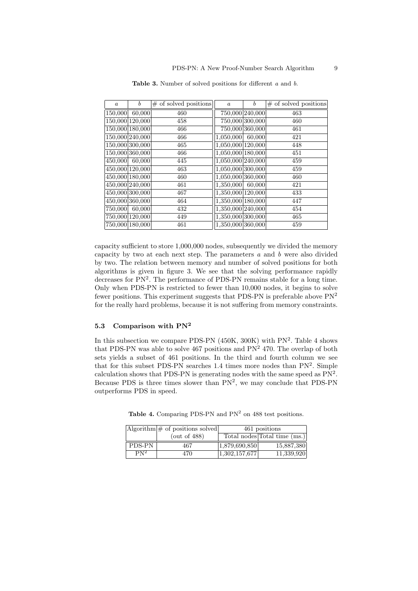| $\boldsymbol{a}$ | b                             | $#$ of solved positions | $\boldsymbol{a}$  | $\boldsymbol{b}$ | $\overline{\#}$ of solved positions |
|------------------|-------------------------------|-------------------------|-------------------|------------------|-------------------------------------|
| 150,000          | 60,000                        | 460                     |                   | 750,000 240,000  | 463                                 |
|                  | 150,000 120,000               | 458                     |                   | 750,000 300,000  | 460                                 |
|                  | 150,000 180,000               | 466                     |                   | 750,000 360,000  | 461                                 |
|                  | 150,000 240,000               | 466                     | 1,050,000         | 60,000           | 421                                 |
|                  | $\overline{150,000}$ 300,000  | 465                     | 1,050,000 120,000 |                  | 448                                 |
|                  | 150,000 360,000               | 466                     | 1,050,000 180,000 |                  | 451                                 |
| 450,000          | 60,000                        | 445                     | 1,050,000 240,000 |                  | 459                                 |
|                  | 450,000 120,000               | 463                     | 1,050,000 300,000 |                  | 459                                 |
|                  | $\overline{450,000 180,000 }$ | 460                     | 1,050,000 360,000 |                  | 460                                 |
|                  | 450,000 240,000               | 461                     | 1,350,000 60,000  |                  | 421                                 |
|                  | 450,000 300,000               | 467                     | 1,350,000 120,000 |                  | 433                                 |
|                  | 450,000 360,000               | 464                     | 1,350,000 180,000 |                  | 447                                 |
| 750,000          | 60,000                        | 432                     | 1,350,000 240,000 |                  | 454                                 |
|                  | 750,000 120,000               | 449                     | 1,350,000 300,000 |                  | 465                                 |
|                  | 750,000 180,000               | 461                     | 1,350,000 360,000 |                  | 459                                 |

Table 3. Number of solved positions for different a and b.

capacity sufficient to store 1,000,000 nodes, subsequently we divided the memory capacity by two at each next step. The parameters  $a$  and  $b$  were also divided by two. The relation between memory and number of solved positions for both algorithms is given in figure 3. We see that the solving performance rapidly decreases for PN<sup>2</sup>. The performance of PDS-PN remains stable for a long time. Only when PDS-PN is restricted to fewer than 10,000 nodes, it begins to solve fewer positions. This experiment suggests that PDS-PN is preferable above PN<sup>2</sup> for the really hard problems, because it is not suffering from memory constraints.

## 5.3 Comparison with PN<sup>2</sup>

In this subsection we compare PDS-PN  $(450K, 300K)$  with PN<sup>2</sup>. Table 4 shows that PDS-PN was able to solve 467 positions and  $PN<sup>2</sup>$  470. The overlap of both sets yields a subset of 461 positions. In the third and fourth column we see that for this subset PDS-PN searches  $1.4$  times more nodes than  $PN^2$ . Simple calculation shows that PDS-PN is generating nodes with the same speed as  $PN<sup>2</sup>$ . Because PDS is three times slower than  $PN^2$ , we may conclude that PDS-PN outperforms PDS in speed.

|        | $\text{Algorithm}$ at positions solved | 461 positions |                              |
|--------|----------------------------------------|---------------|------------------------------|
|        | (out of $488$ )                        |               | Total nodes Total time (ms.) |
| PDS-PN | 467                                    | 1,879,690,850 | 15,887,380                   |
| $PN^2$ | 470                                    | 1,302,157,677 | 11,339,920                   |

Table 4. Comparing PDS-PN and  $PN<sup>2</sup>$  on 488 test positions.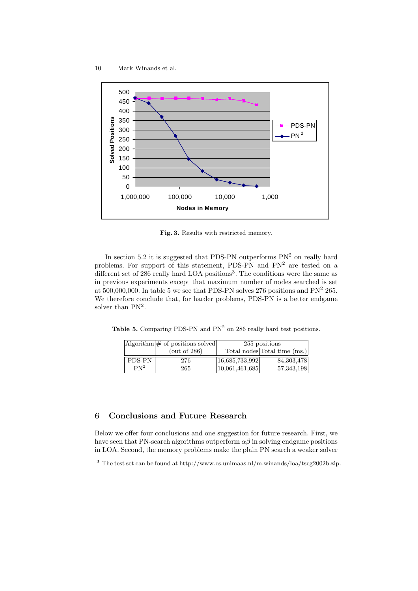

Fig. 3. Results with restricted memory.

In section 5.2 it is suggested that PDS-PN outperforms  $PN<sup>2</sup>$  on really hard problems. For support of this statement, PDS-PN and PN<sup>2</sup> are tested on a different set of 286 really hard LOA positions<sup>3</sup>. The conditions were the same as in previous experiments except that maximum number of nodes searched is set at  $500,000,000$ . In table 5 we see that PDS-PN solves 276 positions and PN<sup>2</sup> 265. We therefore conclude that, for harder problems, PDS-PN is a better endgame solver than  $PN^2$ .

Table 5. Comparing PDS-PN and  $PN<sup>2</sup>$  on 286 really hard test positions.

|        | $\text{Algorithm}$ at positions solved | 255 positions  |                              |
|--------|----------------------------------------|----------------|------------------------------|
|        | (out of $286$ )                        |                | Total nodes Total time (ms.) |
| PDS-PN | 276                                    | 16,685,733,992 | 84, 303, 478                 |
| $PN^2$ | 265                                    | 10,061,461,685 | 57, 343, 198                 |

## 6 Conclusions and Future Research

Below we offer four conclusions and one suggestion for future research. First, we have seen that PN-search algorithms outperform  $\alpha\beta$  in solving endgame positions in LOA. Second, the memory problems make the plain PN search a weaker solver

<sup>&</sup>lt;sup>3</sup> The test set can be found at http://www.cs.unimaas.nl/m.winands/loa/tscg2002b.zip.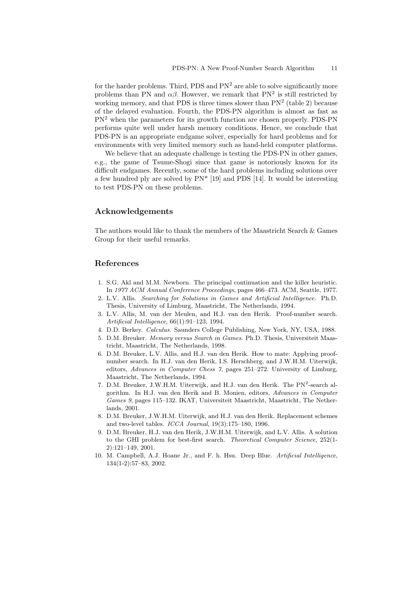for the harder problems. Third, PDS and  $PN<sup>2</sup>$  are able to solve significantly more problems than PN and  $\alpha\beta$ . However, we remark that PN<sup>2</sup> is still restricted by working memory, and that PDS is three times slower than  $PN<sup>2</sup>$  (table 2) because of the delayed evaluation. Fourth, the PDS-PN algorithm is almost as fast as PN<sup>2</sup> when the parameters for its growth function are chosen properly. PDS-PN performs quite well under harsh memory conditions. Hence, we conclude that PDS-PN is an appropriate endgame solver, especially for hard problems and for environments with very limited memory such as hand-held computer platforms.

We believe that an adequate challenge is testing the PDS-PN in other games. e.g., the game of Tsume-Shogi since that game is notoriously known for its difficult endgames. Recently, some of the hard problems including solutions over a few hundred ply are solved by PN\* [19] and PDS [14]. It would be interesting to test PDS-PN on these problems.

## Acknowledgements

The authors would like to thank the members of the Maastricht Search & Games Group for their useful remarks.

## References

- 1. S.G. Akl and M.M. Newborn. The principal continuation and the killer heuristic. In 1977 ACM Annual Conference Proceedings, pages 466–473. ACM, Seattle, 1977.
- 2. L.V. Allis. Searching for Solutions in Games and Artificial Intelligence. Ph.D. Thesis, University of Limburg, Maastricht, The Netherlands, 1994.
- 3. L.V. Allis, M. van der Meulen, and H.J. van den Herik. Proof-number search. Artificial Intelligence, 66(1):91–123, 1994.
- 4. D.D. Berkey. Calculus. Saunders College Publishing, New York, NY, USA, 1988.
- 5. D.M. Breuker. Memory versus Search in Games. Ph.D. Thesis, Universiteit Maastricht, Maastricht, The Netherlands, 1998.
- 6. D.M. Breuker, L.V. Allis, and H.J. van den Herik. How to mate: Applying proofnumber search. In H.J. van den Herik, I.S. Herschberg, and J.W.H.M. Uiterwijk, editors, Advances in Computer Chess 7, pages 251–272. University of Limburg, Maastricht, The Netherlands, 1994.
- 7. D.M. Breuker, J.W.H.M. Uiterwijk, and H.J. van den Herik. The PN<sup>2</sup>-search algorithm. In H.J. van den Herik and B. Monien, editors, Advances in Computer Games 9, pages 115–132. IKAT, Universiteit Maastricht, Maastricht, The Netherlands, 2001.
- 8. D.M. Breuker, J.W.H.M. Uiterwijk, and H.J. van den Herik. Replacement schemes and two-level tables. ICCA Journal, 19(3):175–180, 1996.
- 9. D.M. Breuker, H.J. van den Herik, J.W.H.M. Uiterwijk, and L.V. Allis. A solution to the GHI problem for best-first search. Theoretical Computer Science, 252(1- 2):121–149, 2001.
- 10. M. Campbell, A.J. Hoane Jr., and F. h. Hsu. Deep Blue. Artificial Intelligence, 134(1-2):57–83, 2002.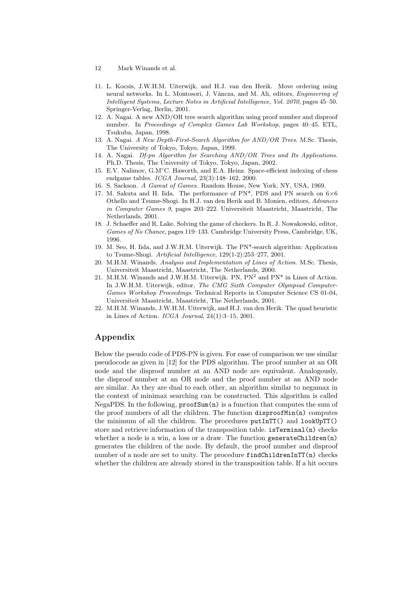- 12 Mark Winands et al.
- 11. L. Kocsis, J.W.H.M. Uiterwijk, and H.J. van den Herik. Move ordering using neural networks. In L. Montosori, J. Váncza, and M. Ali, editors, Engineering of Intelligent Systems, Lecture Notes in Artificial Intelligence, Vol. 2070, pages 45–50. Springer-Verlag, Berlin, 2001.
- 12. A. Nagai. A new AND/OR tree search algorithm using proof number and disproof number. In Proceedings of Complex Games Lab Workshop, pages 40–45. ETL, Tsukuba, Japan, 1998.
- 13. A. Nagai. A New Depth-First-Search Algorithm for AND/OR Trees. M.Sc. Thesis, The University of Tokyo, Tokyo, Japan, 1999.
- 14. A. Nagai. Df-pn Algorithm for Searching AND/OR Trees and Its Applications. Ph.D. Thesis, The University of Tokyo, Tokyo, Japan, 2002.
- 15. E.V. Nalimov, G.M<sup>c</sup>C. Haworth, and E.A. Heinz. Space-efficient indexing of chess endgame tables. ICGA Journal, 23(3):148–162, 2000.
- 16. S. Sackson. A Gamut of Games. Random House, New York, NY, USA, 1969.
- 17. M. Sakuta and H. Iida. The performance of  $PN^*$ , PDS and PN search on  $6\times6$ Othello and Tsume-Shogi. In H.J. van den Herik and B. Monien, editors, Advances in Computer Games 9, pages 203–222. Universiteit Maastricht, Maastricht, The Netherlands, 2001.
- 18. J. Schaeffer and R. Lake. Solving the game of checkers. In R. J. Nowakowski, editor, Games of No Chance, pages 119–133. Cambridge University Press, Cambridge, UK, 1996.
- 19. M. Seo, H. Iida, and J.W.H.M. Uiterwijk. The PN\*-search algorithm: Application to Tsume-Shogi. Artificial Intelligence, 129(1-2):253–277, 2001.
- 20. M.H.M. Winands. Analysis and Implementation of Lines of Action. M.Sc. Thesis, Universiteit Maastricht, Maastricht, The Netherlands, 2000.
- 21. M.H.M. Winands and J.W.H.M. Uiterwijk. PN,  $PN<sup>2</sup>$  and  $PN<sup>*</sup>$  in Lines of Action. In J.W.H.M. Uiterwijk, editor, The CMG Sixth Computer Olympiad Computer-Games Workshop Proceedings. Technical Reports in Computer Science CS 01-04, Universiteit Maastricht, Maastricht, The Netherlands, 2001.
- 22. M.H.M. Winands, J.W.H.M. Uiterwijk, and H.J. van den Herik. The quad heuristic in Lines of Action. ICGA Journal, 24(1):3–15, 2001.

# Appendix

Below the pseudo code of PDS-PN is given. For ease of comparison we use similar pseudocode as given in [12] for the PDS algorithm. The proof number at an OR node and the disproof number at an AND node are equivalent. Analogously, the disproof number at an OR node and the proof number at an AND node are similar. As they are dual to each other, an algorithm similar to negamax in the context of minimax searching can be constructed. This algorithm is called NegaPDS. In the following, proofSum(n) is a function that computes the sum of the proof numbers of all the children. The function disproofMin(n) computes the minimum of all the children. The procedures putInTT() and lookUpTT() store and retrieve information of the transposition table. isTerminal(n) checks whether a node is a win, a loss or a draw. The function generateChildren(n) generates the children of the node. By default, the proof number and disproof number of a node are set to unity. The procedure findChildrenInTT(n) checks whether the children are already stored in the transposition table. If a hit occurs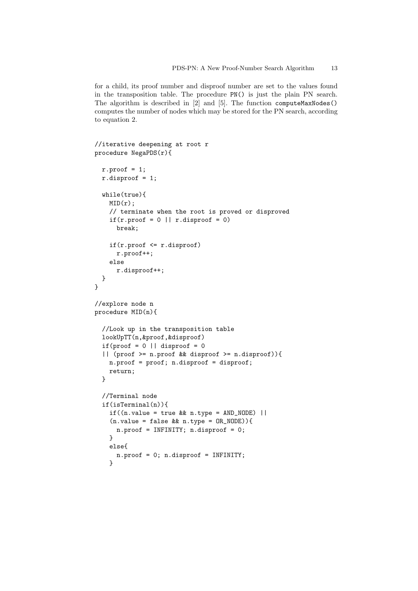for a child, its proof number and disproof number are set to the values found in the transposition table. The procedure PN() is just the plain PN search. The algorithm is described in [2] and [5]. The function computeMaxNodes() computes the number of nodes which may be stored for the PN search, according to equation 2.

```
//iterative deepening at root r
procedure NegaPDS(r){
  r.proof = 1;
  r.disproof = 1;
  while(true){
    MID(r);
    // terminate when the root is proved or disproved
    if(r.proot = 0 || r.disproof = 0)break;
    if(r.proof \leq r.disproof)
      r.proof++;
    else
      r.disproof++;
  }
}
//explore node n
procedure MID(n){
  //Look up in the transposition table
  lookUpTT(n,&proof,&disproof)
  if(proof = 0 || disproot = 0|| (proof >= n.proof && disproof >= n.disproof)){
    n.proof = proof; n.disproof = disproof;
    return;
  }
  //Terminal node
  if(isTerminal(n)){
    if((n.value = true & k n.type = AND_NODE) ||(n.value = false & n_type = OR_NODE) {
      n.proof = INFINITY; n.disproof = 0;
    }
    else{
      n.proot = 0; n.disproof = INFINITE;}
```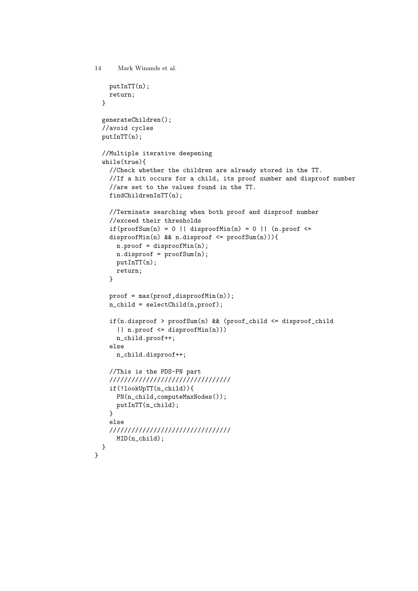```
14 Mark Winands et al.
   putInTT(n);return;
 }
 generateChildren();
 //avoid cycles
 putInTT(n);
  //Multiple iterative deepening
 while(true){
   //Check whether the children are already stored in the TT.
   //If a hit occurs for a child, its proof number and disproof number
   //are set to the values found in the TT.
   findChildrenInTT(n);
   //Terminate searching when both proof and disproof number
   //exceed their thresholds
   if(proofSum(n) = 0 || disprootMin(n) = 0 || (n.proot \ledisproofMin(n) && n.disproof \leq proofSum(n))){
     n.proof = disproofMin(n);
     n.disproof = proofSum(n);putInTT(n);
     return;
   }
   proof = max(proot, disprootMin(n));n_child = selectChild(n,proof);
   if(n.disproof > proofSum(n) && (proof_child <= disproof_child
      || n.proof <= disproofMin(n)))
     n_child.proof++;
   else
     n_child.disproof++;
   //This is the PDS-PN part
   /////////////////////////////////
   if(!lookUpTT(n_child)){
     PN(n_child,computeMaxNodes());
     putInTT(n_child);
   }
   else
   /////////////////////////////////
     MID(n_child);
 }
```
}